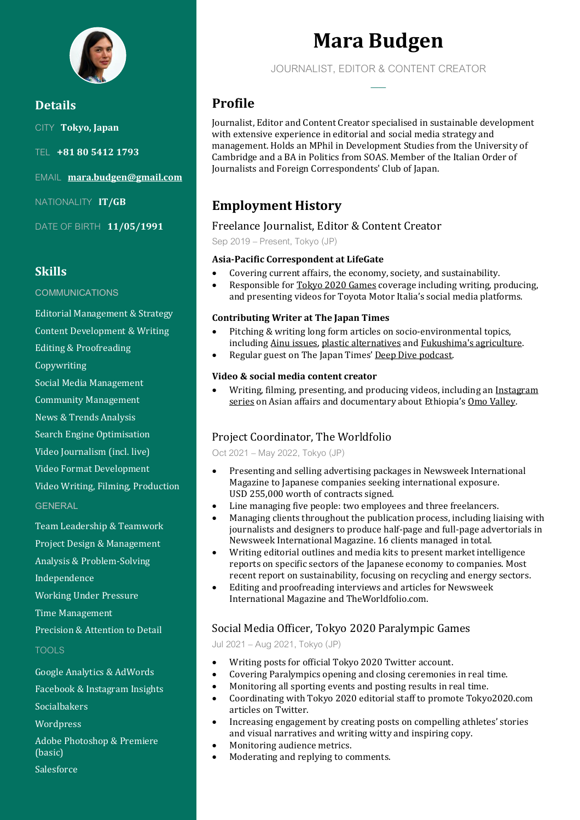

**Details** CITY **Tokyo, Japan** TEL **+81 80 5412 1793** EMAIL **[mara.budgen@gmail.com](mailto:mara.budgen@gmail.com)** NATIONALITY **IT/GB** DATE OF BIRTH **11/05/1991**

## **Skills**

#### **COMMUNICATIONS**

Editorial Management & Strategy

Content Development & Writing

Editing & Proofreading

Copywriting

Social Media Management

Community Management

News & Trends Analysis

Search Engine Optimisation

Video Journalism (incl. live)

Video Format Development

Video Writing, Filming, Production

#### **GENERAL**

Team Leadership & Teamwork Project Design & Management Analysis & Problem-Solving Independence

Working Under Pressure

Time Management

Precision & Attention to Detail

#### TOOLS

Google Analytics & AdWords

Facebook & Instagram Insights

Socialbakers

Wordpress

Adobe Photoshop & Premiere (basic) Salesforce

# **Mara Budgen**

JOURNALIST, EDITOR & CONTENT CREATOR **——**

# **Profile**

Journalist, Editor and Content Creator specialised in sustainable development with extensive experience in editorial and social media strategy and management. Holds an MPhil in Development Studies from the University of Cambridge and a BA in Politics from SOAS. Member of the Italian Order of Journalists and Foreign Correspondents' Club of Japan.

# **Employment History**

### Freelance Journalist, Editor & Content Creator

Sep 2019 – Present, Tokyo (JP)

#### **Asia-Pacific Correspondent at LifeGate**

- Covering current affairs, the economy, society, and sustainability.
- Responsible for [Tokyo 2020 Games](https://marabudgen.com/portfolio/tokyo-2020/) coverage including writing, producing, and presenting videos for Toyota Motor Italia's social media platforms.

#### **Contributing Writer at The Japan Times**

- Pitching & writing long form articles on socio-environmental topics, includin[g Ainu issues,](https://www.japantimes.co.jp/news/2020/10/25/national/social-issues/ainu-language/) [plastic alternatives](https://www.japantimes.co.jp/life/2021/02/21/environment/japan-plastic-alternatives/) an[d Fukushima's agriculture.](https://www.japantimes.co.jp/news/2021/03/12/national/slow-return-agriculture-fukushimas-evacuated-areas/)
- Regular guest on The Japan Times' [Deep Dive podcast.](https://www.japantimes.co.jp/podcast/japan-onsen-hot-springs-sustainability/)

#### **Video & social media content creator**

• Writing, filming, presenting, and producing videos, including an [Instagram](https://www.instagram.com/tv/CO7SUiLKVRY/)  [series](https://www.instagram.com/tv/CO7SUiLKVRY/) on Asian affairs and documentary about Ethiopia's [Omo Valley.](https://youtu.be/b17Ri3apv3U)

## Project Coordinator, The Worldfolio

Oct2021 – May 2022, Tokyo (JP)

- Presenting and selling advertising packages in Newsweek International Magazine to Japanese companies seeking international exposure. USD 255,000 worth of contracts signed.
- Line managing five people: two employees and three freelancers.
- Managing clients throughout the publication process, including liaising with journalists and designers to produce half-page and full-page advertorials in Newsweek International Magazine. 16 clients managed in total.
- Writing editorial outlines and media kits to present market intelligence reports on specific sectors of the Japanese economy to companies. Most recent report on sustainability, focusing on recycling and energy sectors.
- Editing and proofreading interviews and articles for Newsweek International Magazine and TheWorldfolio.com.

## Social Media Officer, Tokyo 2020 Paralympic Games

Jul 2021 – Aug 2021, Tokyo(JP)

- Writing posts for official Tokyo 2020 Twitter account.
- Covering Paralympics opening and closing ceremonies in real time.
- Monitoring all sporting events and posting results in real time.
- Coordinating with Tokyo 2020 editorial staff to promote Tokyo2020.com articles on Twitter.
- Increasing engagement by creating posts on compelling athletes' stories and visual narratives and writing witty and inspiring copy.
- Monitoring audience metrics.
- Moderating and replying to comments.